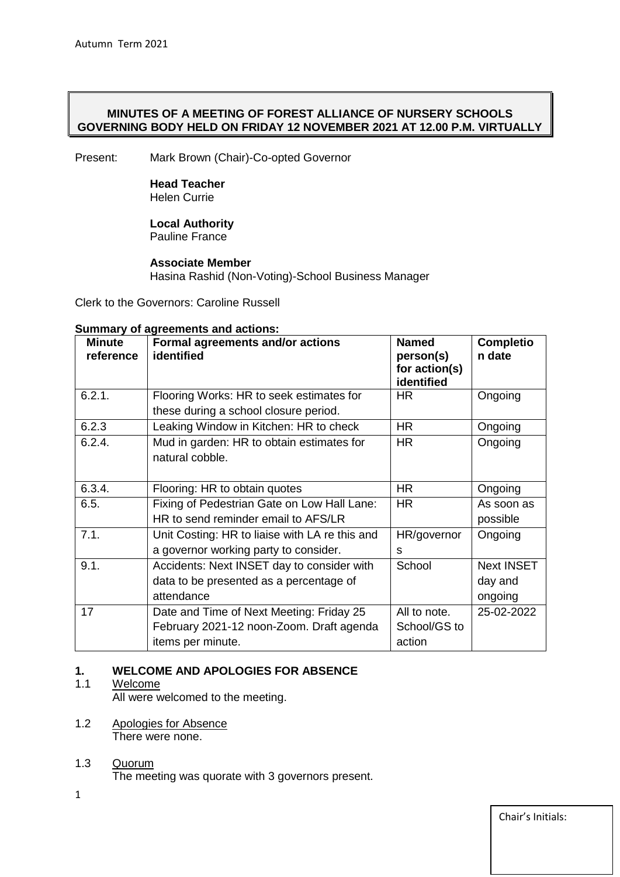## **MINUTES OF A MEETING OF FOREST ALLIANCE OF NURSERY SCHOOLS GOVERNING BODY HELD ON FRIDAY 12 NOVEMBER 2021 AT 12.00 P.M. VIRTUALLY**

Present: Mark Brown (Chair)-Co-opted Governor

## **Head Teacher**  Helen Currie

### **Local Authority** Pauline France

## **Associate Member** Hasina Rashid (Non-Voting)-School Business Manager

Clerk to the Governors: Caroline Russell

## **Summary of agreements and actions:**

| <b>Minute</b><br>reference | Formal agreements and/or actions<br>identified                                    | <b>Named</b><br>person(s)<br>for action(s)<br>identified | <b>Completio</b><br>n date |
|----------------------------|-----------------------------------------------------------------------------------|----------------------------------------------------------|----------------------------|
| 6.2.1.                     | Flooring Works: HR to seek estimates for<br>these during a school closure period. | <b>HR</b>                                                | Ongoing                    |
| 6.2.3                      | Leaking Window in Kitchen: HR to check                                            | <b>HR</b>                                                | Ongoing                    |
| 6.2.4.                     | Mud in garden: HR to obtain estimates for<br>natural cobble.                      | <b>HR</b>                                                | Ongoing                    |
| 6.3.4.                     | Flooring: HR to obtain quotes                                                     | HR.                                                      | Ongoing                    |
| 6.5.                       | Fixing of Pedestrian Gate on Low Hall Lane:                                       | <b>HR</b>                                                | As soon as                 |
|                            | HR to send reminder email to AFS/LR                                               |                                                          | possible                   |
| 7.1.                       | Unit Costing: HR to liaise with LA re this and                                    | HR/governor                                              | Ongoing                    |
|                            | a governor working party to consider.                                             | S                                                        |                            |
| 9.1.                       | Accidents: Next INSET day to consider with                                        | School                                                   | <b>Next INSET</b>          |
|                            | data to be presented as a percentage of                                           |                                                          | day and                    |
|                            | attendance                                                                        |                                                          | ongoing                    |
| 17                         | Date and Time of Next Meeting: Friday 25                                          | All to note.                                             | 25-02-2022                 |
|                            | February 2021-12 noon-Zoom. Draft agenda                                          | School/GS to                                             |                            |
|                            | items per minute.                                                                 | action                                                   |                            |

## **1. WELCOME AND APOLOGIES FOR ABSENCE**

## 1.1 Welcome

All were welcomed to the meeting.

- 1.2 Apologies for Absence There were none.
- 1.3 Quorum The meeting was quorate with 3 governors present.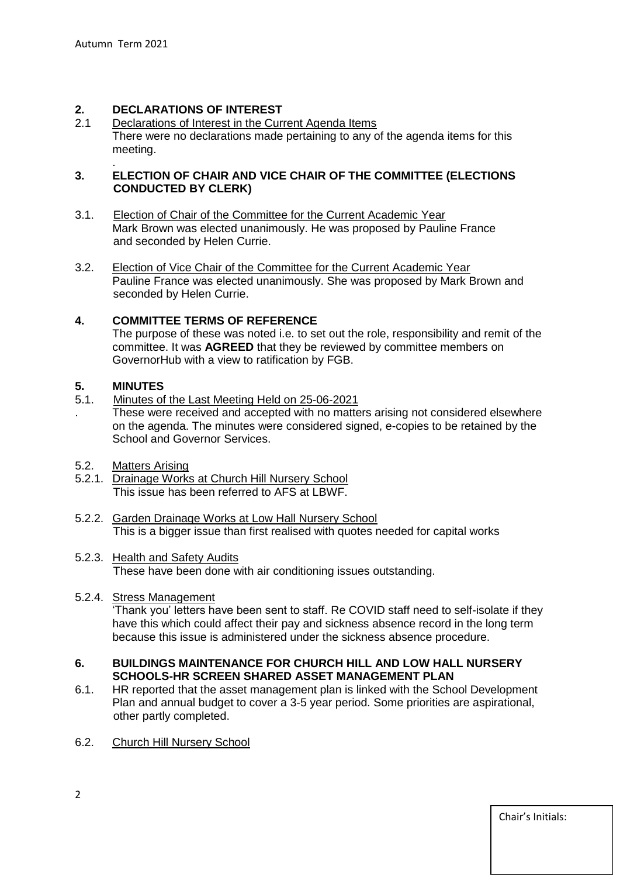## **2. DECLARATIONS OF INTEREST**

Declarations of Interest in the Current Agenda Items There were no declarations made pertaining to any of the agenda items for this meeting.

#### . **3. ELECTION OF CHAIR AND VICE CHAIR OF THE COMMITTEE (ELECTIONS CONDUCTED BY CLERK)**

- 3.1. Election of Chair of the Committee for the Current Academic Year Mark Brown was elected unanimously. He was proposed by Pauline France and seconded by Helen Currie.
- 3.2. Election of Vice Chair of the Committee for the Current Academic Year Pauline France was elected unanimously. She was proposed by Mark Brown and seconded by Helen Currie.

## **4. COMMITTEE TERMS OF REFERENCE**

The purpose of these was noted i.e. to set out the role, responsibility and remit of the committee. It was **AGREED** that they be reviewed by committee members on GovernorHub with a view to ratification by FGB.

## **5. MINUTES**

- 5.1. Minutes of the Last Meeting Held on 25-06-2021
- . These were received and accepted with no matters arising not considered elsewhere on the agenda. The minutes were considered signed, e-copies to be retained by the School and Governor Services.
- 5.2. Matters Arising
- 5.2.1. Drainage Works at Church Hill Nursery School This issue has been referred to AFS at LBWF.
- 5.2.2. Garden Drainage Works at Low Hall Nursery School This is a bigger issue than first realised with quotes needed for capital works
- 5.2.3. Health and Safety Audits These have been done with air conditioning issues outstanding.
- 5.2.4. Stress Management

'Thank you' letters have been sent to staff. Re COVID staff need to self-isolate if they have this which could affect their pay and sickness absence record in the long term because this issue is administered under the sickness absence procedure.

#### **6. BUILDINGS MAINTENANCE FOR CHURCH HILL AND LOW HALL NURSERY SCHOOLS-HR SCREEN SHARED ASSET MANAGEMENT PLAN**

- 6.1. HR reported that the asset management plan is linked with the School Development Plan and annual budget to cover a 3-5 year period. Some priorities are aspirational, other partly completed.
- 6.2. Church Hill Nursery School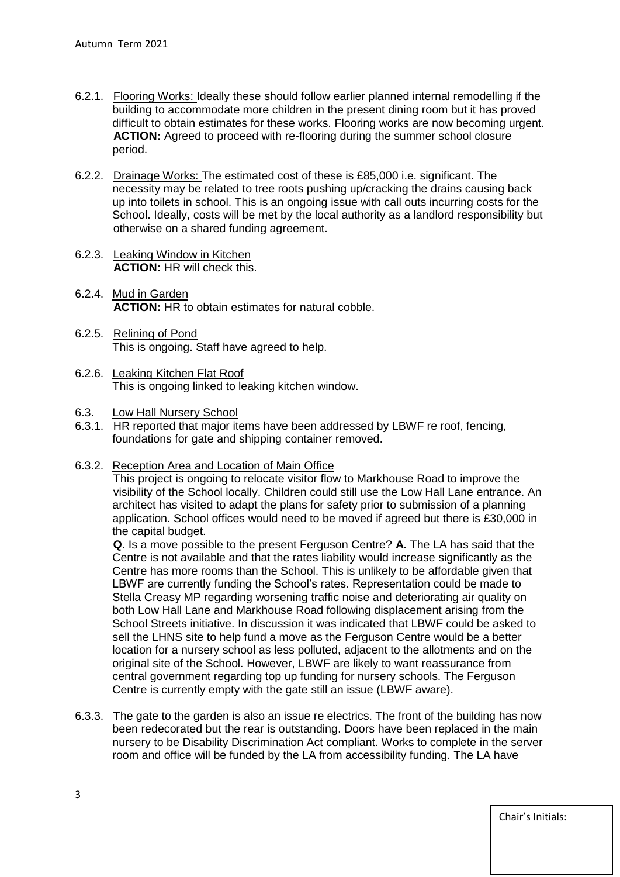- 6.2.1. Flooring Works: Ideally these should follow earlier planned internal remodelling if the building to accommodate more children in the present dining room but it has proved difficult to obtain estimates for these works. Flooring works are now becoming urgent. **ACTION:** Agreed to proceed with re-flooring during the summer school closure period.
- 6.2.2. Drainage Works: The estimated cost of these is £85,000 i.e. significant. The necessity may be related to tree roots pushing up/cracking the drains causing back up into toilets in school. This is an ongoing issue with call outs incurring costs for the School. Ideally, costs will be met by the local authority as a landlord responsibility but otherwise on a shared funding agreement.
- 6.2.3. Leaking Window in Kitchen **ACTION:** HR will check this.
- 6.2.4. Mud in Garden **ACTION:** HR to obtain estimates for natural cobble.
- 6.2.5. Relining of Pond This is ongoing. Staff have agreed to help.
- 6.2.6. Leaking Kitchen Flat Roof This is ongoing linked to leaking kitchen window.
- 6.3. Low Hall Nursery School
- 6.3.1. HR reported that major items have been addressed by LBWF re roof, fencing, foundations for gate and shipping container removed.
- 6.3.2. Reception Area and Location of Main Office

 This project is ongoing to relocate visitor flow to Markhouse Road to improve the visibility of the School locally. Children could still use the Low Hall Lane entrance. An architect has visited to adapt the plans for safety prior to submission of a planning application. School offices would need to be moved if agreed but there is £30,000 in the capital budget.

 **Q.** Is a move possible to the present Ferguson Centre? **A.** The LA has said that the Centre is not available and that the rates liability would increase significantly as the Centre has more rooms than the School. This is unlikely to be affordable given that LBWF are currently funding the School's rates. Representation could be made to Stella Creasy MP regarding worsening traffic noise and deteriorating air quality on both Low Hall Lane and Markhouse Road following displacement arising from the School Streets initiative. In discussion it was indicated that LBWF could be asked to sell the LHNS site to help fund a move as the Ferguson Centre would be a better location for a nursery school as less polluted, adjacent to the allotments and on the original site of the School. However, LBWF are likely to want reassurance from central government regarding top up funding for nursery schools. The Ferguson Centre is currently empty with the gate still an issue (LBWF aware).

6.3.3. The gate to the garden is also an issue re electrics. The front of the building has now been redecorated but the rear is outstanding. Doors have been replaced in the main nursery to be Disability Discrimination Act compliant. Works to complete in the server room and office will be funded by the LA from accessibility funding. The LA have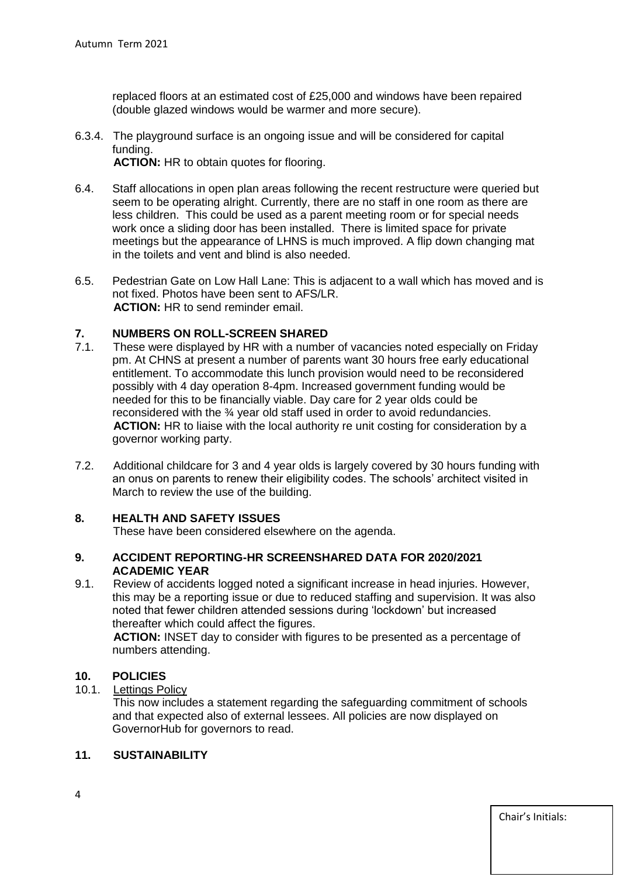replaced floors at an estimated cost of £25,000 and windows have been repaired (double glazed windows would be warmer and more secure).

- 6.3.4. The playground surface is an ongoing issue and will be considered for capital funding. **ACTION:** HR to obtain quotes for flooring.
- 6.4. Staff allocations in open plan areas following the recent restructure were queried but seem to be operating alright. Currently, there are no staff in one room as there are less children. This could be used as a parent meeting room or for special needs work once a sliding door has been installed. There is limited space for private meetings but the appearance of LHNS is much improved. A flip down changing mat in the toilets and vent and blind is also needed.
- 6.5. Pedestrian Gate on Low Hall Lane: This is adjacent to a wall which has moved and is not fixed. Photos have been sent to AFS/LR. **ACTION:** HR to send reminder email.

## **7. NUMBERS ON ROLL-SCREEN SHARED**

- 7.1. These were displayed by HR with a number of vacancies noted especially on Friday pm. At CHNS at present a number of parents want 30 hours free early educational entitlement. To accommodate this lunch provision would need to be reconsidered possibly with 4 day operation 8-4pm. Increased government funding would be needed for this to be financially viable. Day care for 2 year olds could be reconsidered with the ¾ year old staff used in order to avoid redundancies. **ACTION:** HR to liaise with the local authority re unit costing for consideration by a governor working party.
- 7.2. Additional childcare for 3 and 4 year olds is largely covered by 30 hours funding with an onus on parents to renew their eligibility codes. The schools' architect visited in March to review the use of the building.

## **8. HEALTH AND SAFETY ISSUES**

These have been considered elsewhere on the agenda.

#### **9. ACCIDENT REPORTING-HR SCREENSHARED DATA FOR 2020/2021 ACADEMIC YEAR**

9.1. Review of accidents logged noted a significant increase in head injuries. However, this may be a reporting issue or due to reduced staffing and supervision. It was also noted that fewer children attended sessions during 'lockdown' but increased thereafter which could affect the figures.

 **ACTION:** INSET day to consider with figures to be presented as a percentage of numbers attending.

## **10. POLICIES**

10.1. Lettings Policy

 This now includes a statement regarding the safeguarding commitment of schools and that expected also of external lessees. All policies are now displayed on GovernorHub for governors to read.

## **11. SUSTAINABILITY**

Chair's Initials: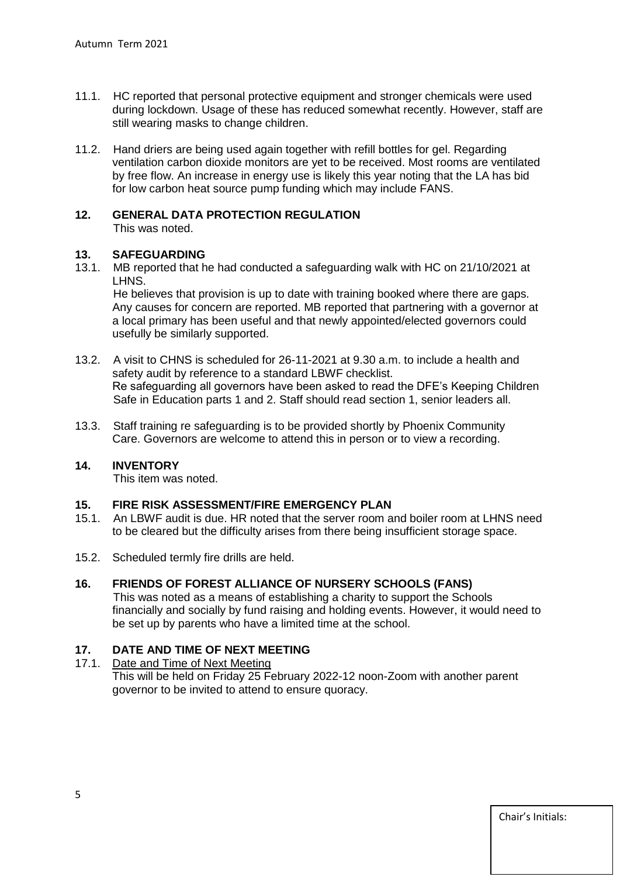- 11.1. HC reported that personal protective equipment and stronger chemicals were used during lockdown. Usage of these has reduced somewhat recently. However, staff are still wearing masks to change children.
- 11.2. Hand driers are being used again together with refill bottles for gel. Regarding ventilation carbon dioxide monitors are yet to be received. Most rooms are ventilated by free flow. An increase in energy use is likely this year noting that the LA has bid for low carbon heat source pump funding which may include FANS.

## **12. GENERAL DATA PROTECTION REGULATION**

This was noted.

# **13. SAFEGUARDING**

13.1. MB reported that he had conducted a safeguarding walk with HC on 21/10/2021 at LHNS.

 He believes that provision is up to date with training booked where there are gaps. Any causes for concern are reported. MB reported that partnering with a governor at a local primary has been useful and that newly appointed/elected governors could usefully be similarly supported.

- 13.2. A visit to CHNS is scheduled for 26-11-2021 at 9.30 a.m. to include a health and safety audit by reference to a standard LBWF checklist. Re safeguarding all governors have been asked to read the DFE's Keeping Children Safe in Education parts 1 and 2. Staff should read section 1, senior leaders all.
- 13.3. Staff training re safeguarding is to be provided shortly by Phoenix Community Care. Governors are welcome to attend this in person or to view a recording.

## **14. INVENTORY**

This item was noted.

## **15. FIRE RISK ASSESSMENT/FIRE EMERGENCY PLAN**

- 15.1. An LBWF audit is due. HR noted that the server room and boiler room at LHNS need to be cleared but the difficulty arises from there being insufficient storage space.
- 15.2. Scheduled termly fire drills are held.

## **16. FRIENDS OF FOREST ALLIANCE OF NURSERY SCHOOLS (FANS)**

 This was noted as a means of establishing a charity to support the Schools financially and socially by fund raising and holding events. However, it would need to be set up by parents who have a limited time at the school.

## **17. DATE AND TIME OF NEXT MEETING**

## 17.1. Date and Time of Next Meeting

This will be held on Friday 25 February 2022-12 noon-Zoom with another parent governor to be invited to attend to ensure quoracy.